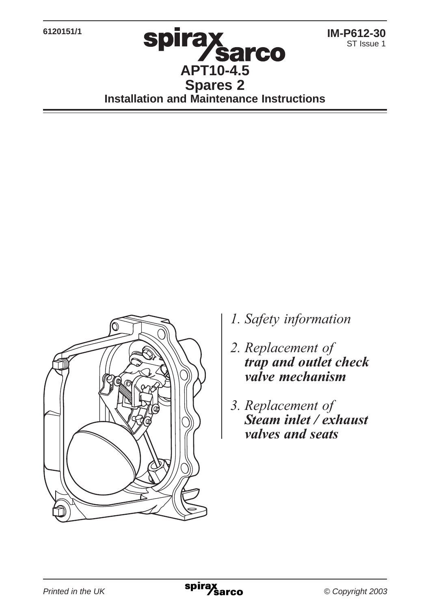**6120151/1**

# **Spirax<br>APT10-4.5 Spares 2 Installation and Maintenance Instructions**



- *l*. Safety information
- 2. Replacement of *frap and outlet check* valve mechanism
- 3. Replacement of *Steam inlet / exhaust valves and seats*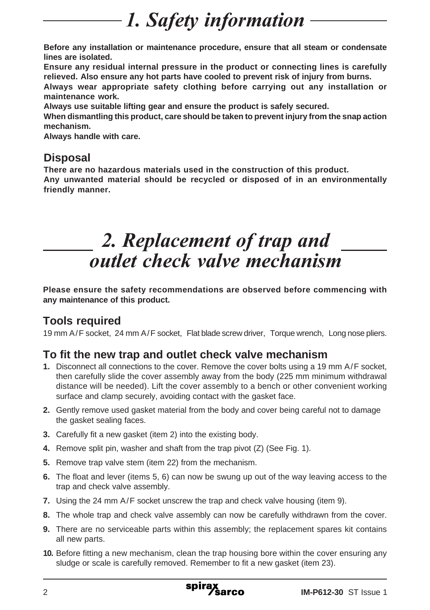## 1. Safety information

**Before any installation or maintenance procedure, ensure that all steam or condensate lines are isolated.**

**Ensure any residual internal pressure in the product or connecting lines is carefully relieved. Also ensure any hot parts have cooled to prevent risk of injury from burns.**

**Always wear appropriate safety clothing before carrying out any installation or maintenance work.**

**Always use suitable lifting gear and ensure the product is safely secured.**

**When dismantling this product, care should be taken to prevent injury from the snap action mechanism.**

**Always handle with care.**

#### **Disposal**

**There are no hazardous materials used in the construction of this product.**

**Any unwanted material should be recycled or disposed of in an environmentally friendly manner.**

### 2. Replacement of trap and and the *direct valve mechanism*

**Please ensure the safety recommendations are observed before commencing with any maintenance of this product.**

### **Tools required**

19 mm A/F socket, 24 mm A/F socket, Flat blade screw driver, Torque wrench, Long nose pliers.

#### **To fit the new trap and outlet check valve mechanism**

- **1.** Disconnect all connections to the cover. Remove the cover bolts using a 19 mm A/F socket, then carefully slide the cover assembly away from the body (225 mm minimum withdrawal distance will be needed). Lift the cover assembly to a bench or other convenient working surface and clamp securely, avoiding contact with the gasket face.
- **2.** Gently remove used gasket material from the body and cover being careful not to damage the gasket sealing faces.
- **3.** Carefully fit a new gasket (item 2) into the existing body.
- **4.** Remove split pin, washer and shaft from the trap pivot (Z) (See Fig. 1).
- **5.** Remove trap valve stem (item 22) from the mechanism.
- **6.** The float and lever (items 5, 6) can now be swung up out of the way leaving access to the trap and check valve assembly.
- **7.** Using the 24 mm A/F socket unscrew the trap and check valve housing (item 9).
- **8.** The whole trap and check valve assembly can now be carefully withdrawn from the cover.
- **9.** There are no serviceable parts within this assembly; the replacement spares kit contains all new parts.
- **10.** Before fitting a new mechanism, clean the trap housing bore within the cover ensuring any sludge or scale is carefully removed. Remember to fit a new gasket (item 23).

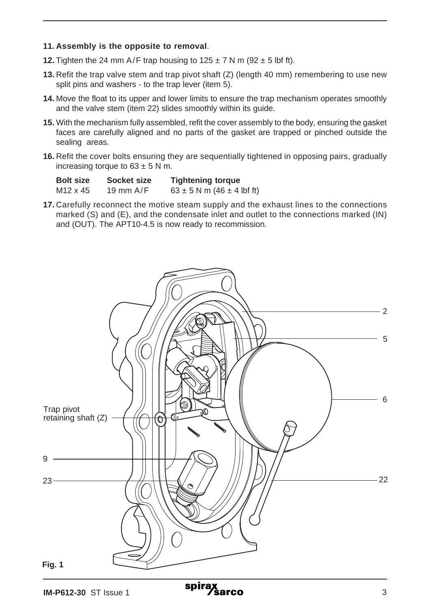#### **11. Assembly is the opposite to removal**.

- **12.** Tighten the 24 mm A/F trap housing to  $125 \pm 7$  N m  $(92 \pm 5)$  lbf ft).
- **13.** Refit the trap valve stem and trap pivot shaft (Z) (length 40 mm) remembering to use new split pins and washers - to the trap lever (item 5).
- **14.** Move the float to its upper and lower limits to ensure the trap mechanism operates smoothly and the valve stem (item 22) slides smoothly within its guide.
- **15.** With the mechanism fully assembled, refit the cover assembly to the body, ensuring the gasket faces are carefully aligned and no parts of the gasket are trapped or pinched outside the sealing areas.
- **16.** Refit the cover bolts ensuring they are sequentially tightened in opposing pairs, gradually increasing torque to  $63 \pm 5$  N m.

| <b>Bolt size</b> | Socket size | <b>Tightening torque</b>           |
|------------------|-------------|------------------------------------|
| M12 x 45         | 19 mm $A/F$ | $63 \pm 5$ N m (46 $\pm$ 4 lbf ft) |

**17.** Carefully reconnect the motive steam supply and the exhaust lines to the connections marked (S) and (E), and the condensate inlet and outlet to the connections marked (IN) and (OUT). The APT10-4.5 is now ready to recommission.

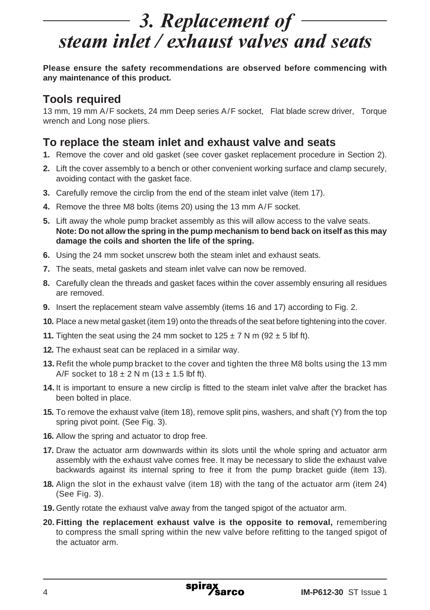## 3. Replacement of steam inlet / exhaust valves and seats

**Please ensure the safety recommendations are observed before commencing with any maintenance of this product.**

#### **Tools required**

13 mm, 19 mm A/F sockets, 24 mm Deep series A/F socket, Flat blade screw driver, Torque wrench and Long nose pliers.

#### **To replace the steam inlet and exhaust valve and seats**

- **1.** Remove the cover and old gasket (see cover gasket replacement procedure in Section 2).
- **2.** Lift the cover assembly to a bench or other convenient working surface and clamp securely, avoiding contact with the gasket face.
- **3.** Carefully remove the circlip from the end of the steam inlet valve (item 17).
- **4.** Remove the three M8 bolts (items 20) using the 13 mm A/F socket.
- **5.** Lift away the whole pump bracket assembly as this will allow access to the valve seats. **Note: Do not allow the spring in the pump mechanism to bend back on itself as this may damage the coils and shorten the life of the spring.**
- **6.** Using the 24 mm socket unscrew both the steam inlet and exhaust seats.
- **7.** The seats, metal gaskets and steam inlet valve can now be removed.
- **8.** Carefully clean the threads and gasket faces within the cover assembly ensuring all residues are removed.
- **9.** Insert the replacement steam valve assembly (items 16 and 17) according to Fig. 2.
- **10.** Place a new metal gasket (item 19) onto the threads of the seat before tightening into the cover.
- **11.** Tighten the seat using the 24 mm socket to  $125 \pm 7$  N m  $(92 \pm 5)$  lbf ft).
- **12.** The exhaust seat can be replaced in a similar way.
- **13.** Refit the whole pump bracket to the cover and tighten the three M8 bolts using the 13 mm A/F socket to  $18 \pm 2$  N m  $(13 \pm 1.5)$  lbf ft).
- **14.** It is important to ensure a new circlip is fitted to the steam inlet valve after the bracket has been bolted in place.
- **15.** To remove the exhaust valve (item 18), remove split pins, washers, and shaft (Y) from the top spring pivot point. (See Fig. 3).
- **16.** Allow the spring and actuator to drop free.
- **17.** Draw the actuator arm downwards within its slots until the whole spring and actuator arm assembly with the exhaust valve comes free. It may be necessary to slide the exhaust valve backwards against its internal spring to free it from the pump bracket guide (item 13).
- **18.** Align the slot in the exhaust valve (item 18) with the tang of the actuator arm (item 24) (See Fig. 3).
- **19.** Gently rotate the exhaust valve away from the tanged spigot of the actuator arm.
- **20. Fitting the replacement exhaust valve is the opposite to removal,** remembering to compress the small spring within the new valve before refitting to the tanged spigot of the actuator arm.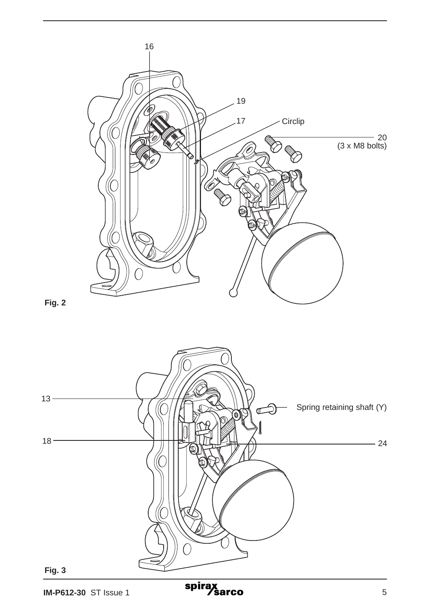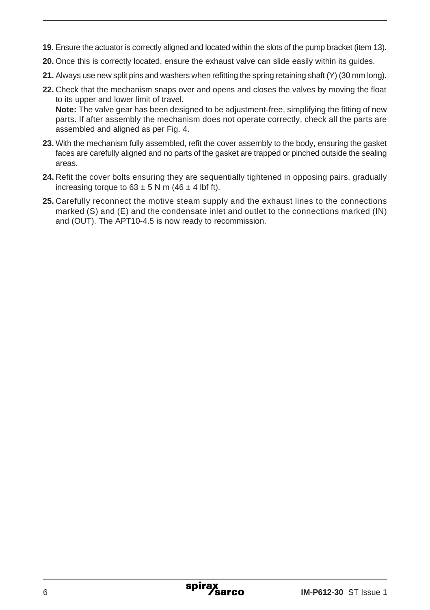- **19.** Ensure the actuator is correctly aligned and located within the slots of the pump bracket (item 13).
- **20.** Once this is correctly located, ensure the exhaust valve can slide easily within its guides.
- **21.** Always use new split pins and washers when refitting the spring retaining shaft (Y) (30 mm long).
- **22.** Check that the mechanism snaps over and opens and closes the valves by moving the float to its upper and lower limit of travel. **Note:** The valve gear has been designed to be adjustment-free, simplifying the fitting of new parts. If after assembly the mechanism does not operate correctly, check all the parts are
- **23.** With the mechanism fully assembled, refit the cover assembly to the body, ensuring the gasket faces are carefully aligned and no parts of the gasket are trapped or pinched outside the sealing areas.

assembled and aligned as per Fig. 4.

- **24.** Refit the cover bolts ensuring they are sequentially tightened in opposing pairs, gradually increasing torque to  $63 \pm 5$  N m (46  $\pm$  4 lbf ft).
- **25.** Carefully reconnect the motive steam supply and the exhaust lines to the connections marked (S) and (E) and the condensate inlet and outlet to the connections marked (IN) and (OUT). The APT10-4.5 is now ready to recommission.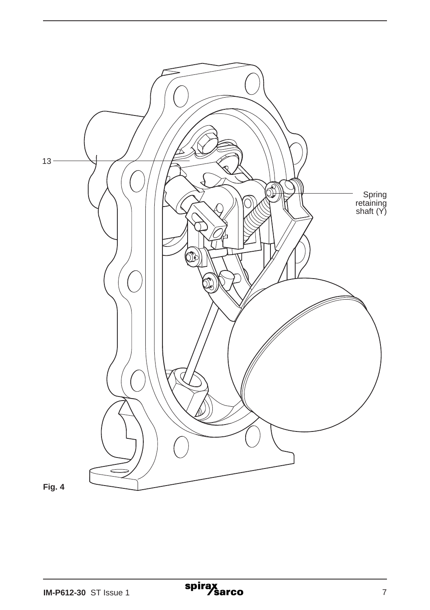